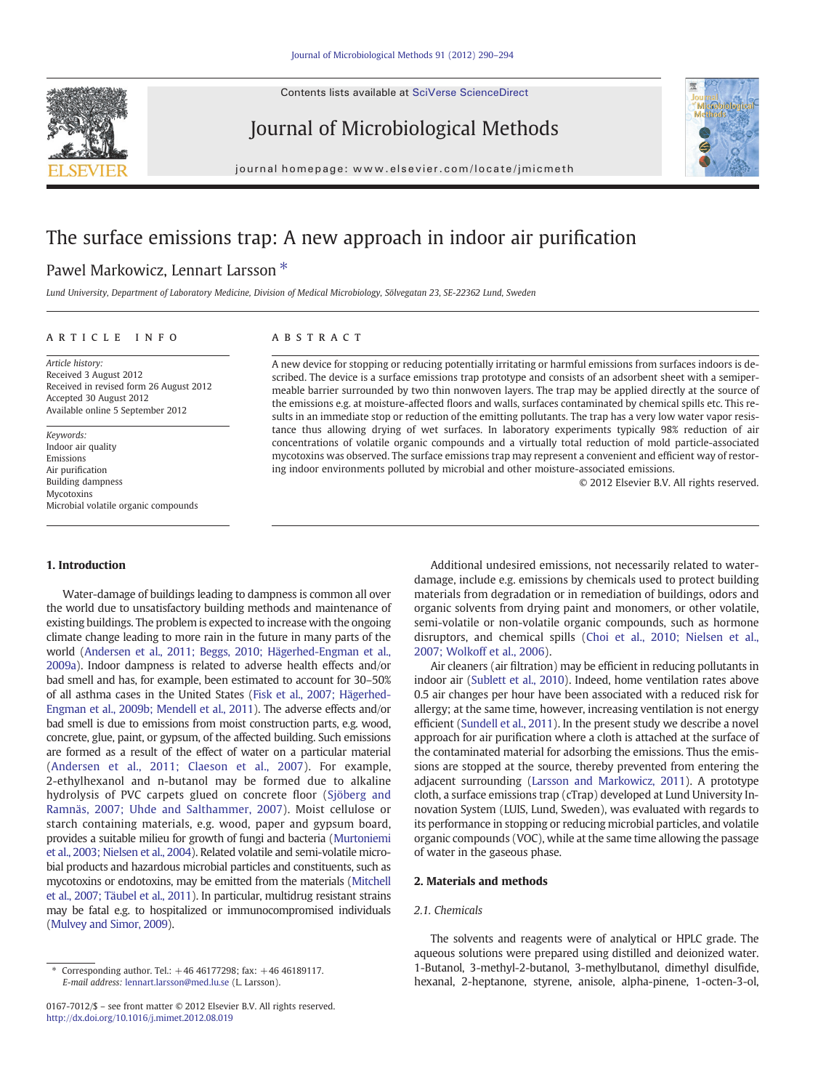Contents lists available at [SciVerse ScienceDirect](http://www.sciencedirect.com/science/journal/01677012)



Journal of Microbiological Methods



journal homepage: www.elsevier.com/locate/jmicmeth

# The surface emissions trap: A new approach in indoor air purification

## Pawel Markowicz, Lennart Larsson<sup>\*</sup>

Lund University, Department of Laboratory Medicine, Division of Medical Microbiology, Sölvegatan 23, SE-22362 Lund, Sweden

#### article info abstract

Article history: Received 3 August 2012 Received in revised form 26 August 2012 Accepted 30 August 2012 Available online 5 September 2012

Keywords: Indoor air quality Emissions Air purification Building dampness Mycotoxins Microbial volatile organic compounds

### 1. Introduction

Water-damage of buildings leading to dampness is common all over the world due to unsatisfactory building methods and maintenance of existing buildings. The problem is expected to increase with the ongoing climate change leading to more rain in the future in many parts of the world ([Andersen et al., 2011; Beggs, 2010; Hägerhed-Engman et al.,](#page-4-0) [2009a](#page-4-0)). Indoor dampness is related to adverse health effects and/or bad smell and has, for example, been estimated to account for 30–50% of all asthma cases in the United States [\(Fisk et al., 2007; Hägerhed-](#page-4-0)[Engman et al., 2009b; Mendell et al., 2011\)](#page-4-0). The adverse effects and/or bad smell is due to emissions from moist construction parts, e.g. wood, concrete, glue, paint, or gypsum, of the affected building. Such emissions are formed as a result of the effect of water on a particular material [\(Andersen et al., 2011; Claeson et al., 2007](#page-4-0)). For example, 2-ethylhexanol and n-butanol may be formed due to alkaline hydrolysis of PVC carpets glued on concrete floor ([Sjöberg and](#page-4-0) [Ramnäs, 2007; Uhde and Salthammer, 2007\)](#page-4-0). Moist cellulose or starch containing materials, e.g. wood, paper and gypsum board, provides a suitable milieu for growth of fungi and bacteria [\(Murtoniemi](#page-4-0) [et al., 2003; Nielsen et al., 2004](#page-4-0)). Related volatile and semi-volatile microbial products and hazardous microbial particles and constituents, such as mycotoxins or endotoxins, may be emitted from the materials [\(Mitchell](#page-4-0) [et al., 2007; Täubel et al., 2011\)](#page-4-0). In particular, multidrug resistant strains may be fatal e.g. to hospitalized or immunocompromised individuals [\(Mulvey and Simor, 2009\)](#page-4-0).

A new device for stopping or reducing potentially irritating or harmful emissions from surfaces indoors is described. The device is a surface emissions trap prototype and consists of an adsorbent sheet with a semipermeable barrier surrounded by two thin nonwoven layers. The trap may be applied directly at the source of the emissions e.g. at moisture-affected floors and walls, surfaces contaminated by chemical spills etc. This results in an immediate stop or reduction of the emitting pollutants. The trap has a very low water vapor resistance thus allowing drying of wet surfaces. In laboratory experiments typically 98% reduction of air concentrations of volatile organic compounds and a virtually total reduction of mold particle-associated mycotoxins was observed. The surface emissions trap may represent a convenient and efficient way of restoring indoor environments polluted by microbial and other moisture-associated emissions.

© 2012 Elsevier B.V. All rights reserved.

Additional undesired emissions, not necessarily related to waterdamage, include e.g. emissions by chemicals used to protect building materials from degradation or in remediation of buildings, odors and organic solvents from drying paint and monomers, or other volatile, semi-volatile or non-volatile organic compounds, such as hormone disruptors, and chemical spills [\(Choi et al., 2010; Nielsen et al.,](#page-4-0) [2007; Wolkoff et al., 2006\)](#page-4-0).

Air cleaners (air filtration) may be efficient in reducing pollutants in indoor air [\(Sublett et al., 2010\)](#page-4-0). Indeed, home ventilation rates above 0.5 air changes per hour have been associated with a reduced risk for allergy; at the same time, however, increasing ventilation is not energy efficient [\(Sundell et al., 2011\)](#page-4-0). In the present study we describe a novel approach for air purification where a cloth is attached at the surface of the contaminated material for adsorbing the emissions. Thus the emissions are stopped at the source, thereby prevented from entering the adjacent surrounding [\(Larsson and Markowicz, 2011](#page-4-0)). A prototype cloth, a surface emissions trap (cTrap) developed at Lund University Innovation System (LUIS, Lund, Sweden), was evaluated with regards to its performance in stopping or reducing microbial particles, and volatile organic compounds (VOC), while at the same time allowing the passage of water in the gaseous phase.

#### 2. Materials and methods

#### 2.1. Chemicals

The solvents and reagents were of analytical or HPLC grade. The aqueous solutions were prepared using distilled and deionized water. 1-Butanol, 3-methyl-2-butanol, 3-methylbutanol, dimethyl disulfide, hexanal, 2-heptanone, styrene, anisole, alpha-pinene, 1-octen-3-ol,

Corresponding author. Tel.: +46 46177298; fax: +46 46189117. E-mail address: [lennart.larsson@med.lu.se](mailto:lennart.larsson@med.lu.se) (L. Larsson).

<sup>0167-7012/\$</sup> – see front matter © 2012 Elsevier B.V. All rights reserved. <http://dx.doi.org/10.1016/j.mimet.2012.08.019>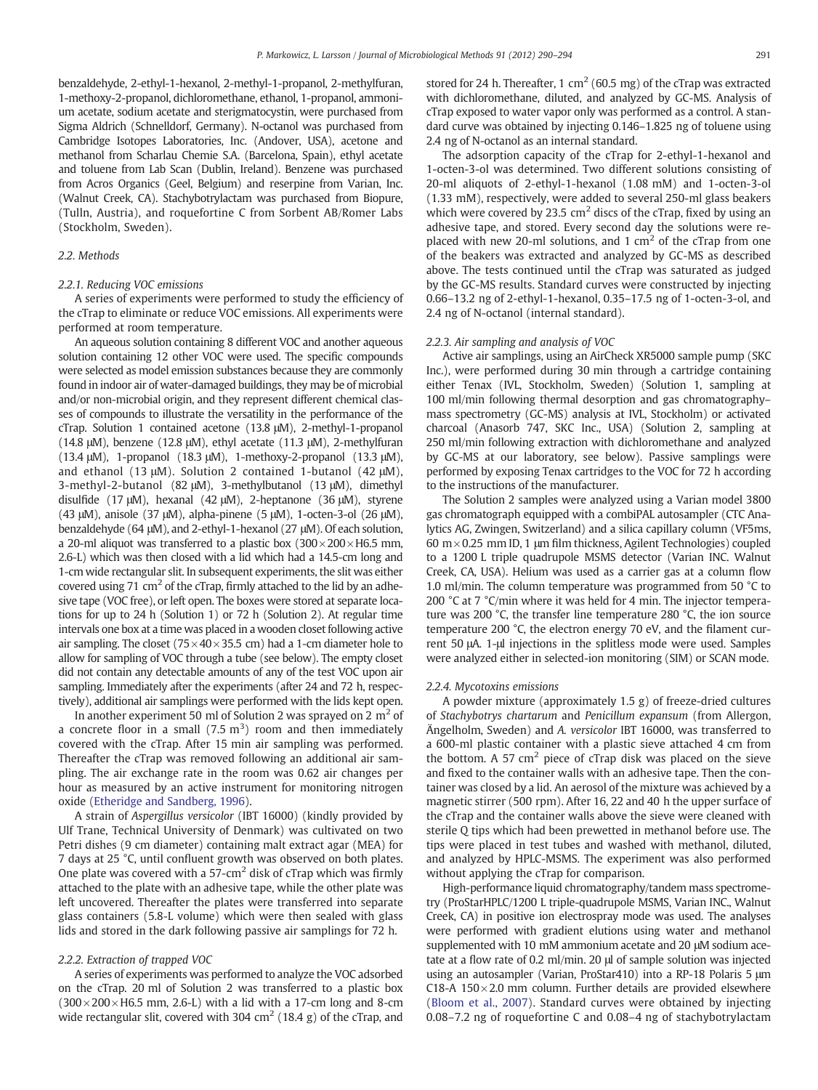benzaldehyde, 2-ethyl-1-hexanol, 2-methyl-1-propanol, 2-methylfuran, 1-methoxy-2-propanol, dichloromethane, ethanol, 1-propanol, ammonium acetate, sodium acetate and sterigmatocystin, were purchased from Sigma Aldrich (Schnelldorf, Germany). N-octanol was purchased from Cambridge Isotopes Laboratories, Inc. (Andover, USA), acetone and methanol from Scharlau Chemie S.A. (Barcelona, Spain), ethyl acetate and toluene from Lab Scan (Dublin, Ireland). Benzene was purchased from Acros Organics (Geel, Belgium) and reserpine from Varian, Inc. (Walnut Creek, CA). Stachybotrylactam was purchased from Biopure, (Tulln, Austria), and roquefortine C from Sorbent AB/Romer Labs (Stockholm, Sweden).

#### 2.2. Methods

#### 2.2.1. Reducing VOC emissions

A series of experiments were performed to study the efficiency of the cTrap to eliminate or reduce VOC emissions. All experiments were performed at room temperature.

An aqueous solution containing 8 different VOC and another aqueous solution containing 12 other VOC were used. The specific compounds were selected as model emission substances because they are commonly found in indoor air of water-damaged buildings, they may be of microbial and/or non-microbial origin, and they represent different chemical classes of compounds to illustrate the versatility in the performance of the cTrap. Solution 1 contained acetone (13.8 μM), 2-methyl-1-propanol (14.8 μM), benzene (12.8 μM), ethyl acetate (11.3 μM), 2-methylfuran (13.4 μM), 1-propanol (18.3 μM), 1-methoxy-2-propanol (13.3 μM), and ethanol (13 μM). Solution 2 contained 1-butanol (42 μM), 3-methyl-2-butanol (82 μM), 3-methylbutanol (13 μM), dimethyl disulfide (17 μM), hexanal (42 μM), 2-heptanone (36 μM), styrene (43 μM), anisole (37 μM), alpha-pinene (5 μM), 1-octen-3-ol (26 μM), benzaldehyde (64 μM), and 2-ethyl-1-hexanol (27 μM). Of each solution, a 20-ml aliquot was transferred to a plastic box  $(300 \times 200 \times H6.5$  mm, 2.6-L) which was then closed with a lid which had a 14.5-cm long and 1-cm wide rectangular slit. In subsequent experiments, the slit was either covered using 71  $\text{cm}^2$  of the cTrap, firmly attached to the lid by an adhesive tape (VOC free), or left open. The boxes were stored at separate locations for up to 24 h (Solution 1) or 72 h (Solution 2). At regular time intervals one box at a time was placed in a wooden closet following active air sampling. The closet ( $75 \times 40 \times 35.5$  cm) had a 1-cm diameter hole to allow for sampling of VOC through a tube (see below). The empty closet did not contain any detectable amounts of any of the test VOC upon air sampling. Immediately after the experiments (after 24 and 72 h, respectively), additional air samplings were performed with the lids kept open.

In another experiment 50 ml of Solution 2 was sprayed on 2  $m<sup>2</sup>$  of a concrete floor in a small  $(7.5 \text{ m}^3)$  room and then immediately covered with the cTrap. After 15 min air sampling was performed. Thereafter the cTrap was removed following an additional air sampling. The air exchange rate in the room was 0.62 air changes per hour as measured by an active instrument for monitoring nitrogen oxide [\(Etheridge and Sandberg, 1996](#page-4-0)).

A strain of Aspergillus versicolor (IBT 16000) (kindly provided by Ulf Trane, Technical University of Denmark) was cultivated on two Petri dishes (9 cm diameter) containing malt extract agar (MEA) for 7 days at 25 °C, until confluent growth was observed on both plates. One plate was covered with a  $57$ -cm<sup>2</sup> disk of cTrap which was firmly attached to the plate with an adhesive tape, while the other plate was left uncovered. Thereafter the plates were transferred into separate glass containers (5.8-L volume) which were then sealed with glass lids and stored in the dark following passive air samplings for 72 h.

#### 2.2.2. Extraction of trapped VOC

A series of experiments was performed to analyze the VOC adsorbed on the cTrap. 20 ml of Solution 2 was transferred to a plastic box  $(300 \times 200 \times H6.5$  mm, 2.6-L) with a lid with a 17-cm long and 8-cm wide rectangular slit, covered with 304 cm<sup>2</sup> (18.4 g) of the cTrap, and stored for 24 h. Thereafter, 1 cm<sup>2</sup> (60.5 mg) of the cTrap was extracted with dichloromethane, diluted, and analyzed by GC-MS. Analysis of cTrap exposed to water vapor only was performed as a control. A standard curve was obtained by injecting 0.146–1.825 ng of toluene using 2.4 ng of N-octanol as an internal standard.

The adsorption capacity of the cTrap for 2-ethyl-1-hexanol and 1-octen-3-ol was determined. Two different solutions consisting of 20-ml aliquots of 2-ethyl-1-hexanol (1.08 mM) and 1-octen-3-ol (1.33 mM), respectively, were added to several 250-ml glass beakers which were covered by 23.5  $\text{cm}^2$  discs of the cTrap, fixed by using an adhesive tape, and stored. Every second day the solutions were replaced with new 20-ml solutions, and 1  $\text{cm}^2$  of the cTrap from one of the beakers was extracted and analyzed by GC-MS as described above. The tests continued until the cTrap was saturated as judged by the GC-MS results. Standard curves were constructed by injecting 0.66–13.2 ng of 2-ethyl-1-hexanol, 0.35–17.5 ng of 1-octen-3-ol, and 2.4 ng of N-octanol (internal standard).

#### 2.2.3. Air sampling and analysis of VOC

Active air samplings, using an AirCheck XR5000 sample pump (SKC Inc.), were performed during 30 min through a cartridge containing either Tenax (IVL, Stockholm, Sweden) (Solution 1, sampling at 100 ml/min following thermal desorption and gas chromatography– mass spectrometry (GC-MS) analysis at IVL, Stockholm) or activated charcoal (Anasorb 747, SKC Inc., USA) (Solution 2, sampling at 250 ml/min following extraction with dichloromethane and analyzed by GC-MS at our laboratory, see below). Passive samplings were performed by exposing Tenax cartridges to the VOC for 72 h according to the instructions of the manufacturer.

The Solution 2 samples were analyzed using a Varian model 3800 gas chromatograph equipped with a combiPAL autosampler (CTC Analytics AG, Zwingen, Switzerland) and a silica capillary column (VF5ms,  $60 \text{ m} \times 0.25 \text{ mm}$  ID, 1 µm film thickness, Agilent Technologies) coupled to a 1200 L triple quadrupole MSMS detector (Varian INC. Walnut Creek, CA, USA). Helium was used as a carrier gas at a column flow 1.0 ml/min. The column temperature was programmed from 50 °C to 200 °C at 7 °C/min where it was held for 4 min. The injector temperature was 200 °C, the transfer line temperature 280 °C, the ion source temperature 200 °C, the electron energy 70 eV, and the filament current 50 μA. 1-μl injections in the splitless mode were used. Samples were analyzed either in selected-ion monitoring (SIM) or SCAN mode.

#### 2.2.4. Mycotoxins emissions

A powder mixture (approximately 1.5 g) of freeze-dried cultures of Stachybotrys chartarum and Penicillum expansum (from Allergon, Ängelholm, Sweden) and A. versicolor IBT 16000, was transferred to a 600-ml plastic container with a plastic sieve attached 4 cm from the bottom. A 57  $\text{cm}^2$  piece of cTrap disk was placed on the sieve and fixed to the container walls with an adhesive tape. Then the container was closed by a lid. An aerosol of the mixture was achieved by a magnetic stirrer (500 rpm). After 16, 22 and 40 h the upper surface of the cTrap and the container walls above the sieve were cleaned with sterile Q tips which had been prewetted in methanol before use. The tips were placed in test tubes and washed with methanol, diluted, and analyzed by HPLC-MSMS. The experiment was also performed without applying the cTrap for comparison.

High-performance liquid chromatography/tandem mass spectrometry (ProStarHPLC/1200 L triple-quadrupole MSMS, Varian INC., Walnut Creek, CA) in positive ion electrospray mode was used. The analyses were performed with gradient elutions using water and methanol supplemented with 10 mM ammonium acetate and 20 μM sodium acetate at a flow rate of 0.2 ml/min. 20 μl of sample solution was injected using an autosampler (Varian, ProStar410) into a RP-18 Polaris 5 μm C18-A 150 $\times$ 2.0 mm column. Further details are provided elsewhere [\(Bloom et al., 2007\)](#page-4-0). Standard curves were obtained by injecting 0.08–7.2 ng of roquefortine C and 0.08–4 ng of stachybotrylactam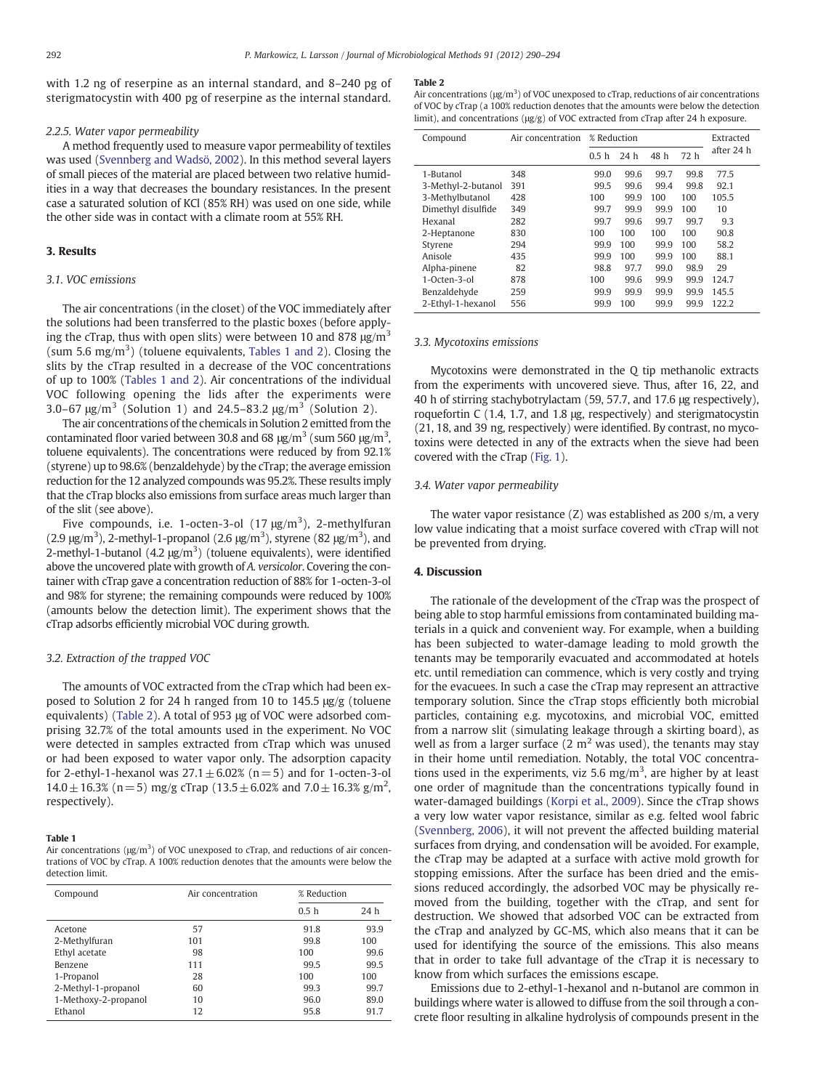with 1.2 ng of reserpine as an internal standard, and 8–240 pg of sterigmatocystin with 400 pg of reserpine as the internal standard.

#### 2.2.5. Water vapor permeability

A method frequently used to measure vapor permeability of textiles was used [\(Svennberg and Wadsö, 2002](#page-4-0)). In this method several layers of small pieces of the material are placed between two relative humidities in a way that decreases the boundary resistances. In the present case a saturated solution of KCl (85% RH) was used on one side, while the other side was in contact with a climate room at 55% RH.

#### 3. Results

#### 3.1. VOC emissions

The air concentrations (in the closet) of the VOC immediately after the solutions had been transferred to the plastic boxes (before applying the cTrap, thus with open slits) were between 10 and 878  $\mu$ g/m<sup>3</sup> (sum 5.6 mg/m<sup>3</sup>) (toluene equivalents, Tables 1 and 2). Closing the slits by the cTrap resulted in a decrease of the VOC concentrations of up to 100% (Tables 1 and 2). Air concentrations of the individual VOC following opening the lids after the experiments were 3.0–67  $\mu$ g/m<sup>3</sup> (Solution 1) and 24.5–83.2  $\mu$ g/m<sup>3</sup> (Solution 2).

The air concentrations of the chemicals in Solution 2 emitted from the contaminated floor varied between 30.8 and 68  $\mu$ g/m<sup>3</sup> (sum 560  $\mu$ g/m<sup>3</sup>, toluene equivalents). The concentrations were reduced by from 92.1% (styrene) up to 98.6% (benzaldehyde) by the cTrap; the average emission reduction for the 12 analyzed compounds was 95.2%. These results imply that the cTrap blocks also emissions from surface areas much larger than of the slit (see above).

Five compounds, i.e. 1-octen-3-ol  $(17 \mu g/m^3)$ , 2-methylfuran (2.9  $\mu$ g/m<sup>3</sup>), 2-methyl-1-propanol (2.6  $\mu$ g/m<sup>3</sup>), styrene (82  $\mu$ g/m<sup>3</sup>), and 2-methyl-1-butanol  $(4.2 \text{ µg/m}^3)$  (toluene equivalents), were identified above the uncovered plate with growth of A. versicolor. Covering the container with cTrap gave a concentration reduction of 88% for 1-octen-3-ol and 98% for styrene; the remaining compounds were reduced by 100% (amounts below the detection limit). The experiment shows that the cTrap adsorbs efficiently microbial VOC during growth.

#### 3.2. Extraction of the trapped VOC

The amounts of VOC extracted from the cTrap which had been exposed to Solution 2 for 24 h ranged from 10 to 145.5 μg/g (toluene equivalents) (Table 2). A total of 953 μg of VOC were adsorbed comprising 32.7% of the total amounts used in the experiment. No VOC were detected in samples extracted from cTrap which was unused or had been exposed to water vapor only. The adsorption capacity for 2-ethyl-1-hexanol was  $27.1 \pm 6.02\%$  (n=5) and for 1-octen-3-ol  $14.0 \pm 16.3\%$  (n = 5) mg/g cTrap (13.5  $\pm$  6.02% and 7.0  $\pm$  16.3% g/m<sup>2</sup>, respectively).

#### Table 1

| Air concentrations ( $\mu$ g/m <sup>3</sup> ) of VOC unexposed to cTrap, and reductions of air concen- |
|--------------------------------------------------------------------------------------------------------|
| trations of VOC by cTrap. A 100% reduction denotes that the amounts were below the                     |
| detection limit.                                                                                       |

| Compound             | Air concentration | % Reduction      |      |  |
|----------------------|-------------------|------------------|------|--|
|                      |                   | 0.5 <sub>h</sub> | 24 h |  |
| Acetone              | 57                | 91.8             | 93.9 |  |
| 2-Methylfuran        | 101               | 99.8             | 100  |  |
| Ethyl acetate        | 98                | 100              | 99.6 |  |
| Benzene              | 111               | 99.5             | 99.5 |  |
| 1-Propanol           | 28                | 100              | 100  |  |
| 2-Methyl-1-propanol  | 60                | 99.3             | 99.7 |  |
| 1-Methoxy-2-propanol | 10                | 96.0             | 89.0 |  |
| Ethanol              | 12                | 95.8             | 91.7 |  |

#### Table 2

Air concentrations ( $\mu$ g/m<sup>3</sup>) of VOC unexposed to cTrap, reductions of air concentrations of VOC by cTrap (a 100% reduction denotes that the amounts were below the detection limit), and concentrations (μg/g) of VOC extracted from cTrap after 24 h exposure.

| Compound           | Air concentration | % Reduction      |                 |      |      | Extracted  |
|--------------------|-------------------|------------------|-----------------|------|------|------------|
|                    |                   | 0.5 <sub>h</sub> | 24 <sub>h</sub> | 48 h | 72 h | after 24 h |
| 1-Butanol          | 348               | 99.0             | 99.6            | 99.7 | 99.8 | 77.5       |
| 3-Methyl-2-butanol | 391               | 99.5             | 99.6            | 99.4 | 99.8 | 92.1       |
| 3-Methylbutanol    | 428               | 100              | 99.9            | 100  | 100  | 105.5      |
| Dimethyl disulfide | 349               | 99.7             | 99.9            | 99.9 | 100  | 10         |
| Hexanal            | 282               | 99.7             | 99.6            | 99.7 | 99.7 | 9.3        |
| 2-Heptanone        | 830               | 100              | 100             | 100  | 100  | 90.8       |
| Styrene            | 294               | 99.9             | 100             | 99.9 | 100  | 58.2       |
| Anisole            | 435               | 99.9             | 100             | 99.9 | 100  | 88.1       |
| Alpha-pinene       | 82                | 98.8             | 97.7            | 99.0 | 98.9 | 29         |
| $1-Octen-3-01$     | 878               | 100              | 99.6            | 99.9 | 99.9 | 124.7      |
| Benzaldehyde       | 259               | 99.9             | 99.9            | 99.9 | 99.9 | 145.5      |
| 2-Ethyl-1-hexanol  | 556               | 99.9             | 100             | 99.9 | 99.9 | 122.2      |

#### 3.3. Mycotoxins emissions

Mycotoxins were demonstrated in the Q tip methanolic extracts from the experiments with uncovered sieve. Thus, after 16, 22, and 40 h of stirring stachybotrylactam (59, 57.7, and 17.6 μg respectively), roquefortin C (1.4, 1.7, and 1.8 μg, respectively) and sterigmatocystin (21, 18, and 39 ng, respectively) were identified. By contrast, no mycotoxins were detected in any of the extracts when the sieve had been covered with the cTrap ([Fig. 1](#page-3-0)).

#### 3.4. Water vapor permeability

The water vapor resistance (Z) was established as 200 s/m, a very low value indicating that a moist surface covered with cTrap will not be prevented from drying.

#### 4. Discussion

The rationale of the development of the cTrap was the prospect of being able to stop harmful emissions from contaminated building materials in a quick and convenient way. For example, when a building has been subjected to water-damage leading to mold growth the tenants may be temporarily evacuated and accommodated at hotels etc. until remediation can commence, which is very costly and trying for the evacuees. In such a case the cTrap may represent an attractive temporary solution. Since the cTrap stops efficiently both microbial particles, containing e.g. mycotoxins, and microbial VOC, emitted from a narrow slit (simulating leakage through a skirting board), as well as from a larger surface  $(2 \text{ m}^2 \text{ was used})$ , the tenants may stay in their home until remediation. Notably, the total VOC concentrations used in the experiments, viz 5.6 mg/m<sup>3</sup>, are higher by at least one order of magnitude than the concentrations typically found in water-damaged buildings [\(Korpi et al., 2009\)](#page-4-0). Since the cTrap shows a very low water vapor resistance, similar as e.g. felted wool fabric [\(Svennberg, 2006](#page-4-0)), it will not prevent the affected building material surfaces from drying, and condensation will be avoided. For example, the cTrap may be adapted at a surface with active mold growth for stopping emissions. After the surface has been dried and the emissions reduced accordingly, the adsorbed VOC may be physically removed from the building, together with the cTrap, and sent for destruction. We showed that adsorbed VOC can be extracted from the cTrap and analyzed by GC-MS, which also means that it can be used for identifying the source of the emissions. This also means that in order to take full advantage of the cTrap it is necessary to know from which surfaces the emissions escape.

Emissions due to 2-ethyl-1-hexanol and n-butanol are common in buildings where water is allowed to diffuse from the soil through a concrete floor resulting in alkaline hydrolysis of compounds present in the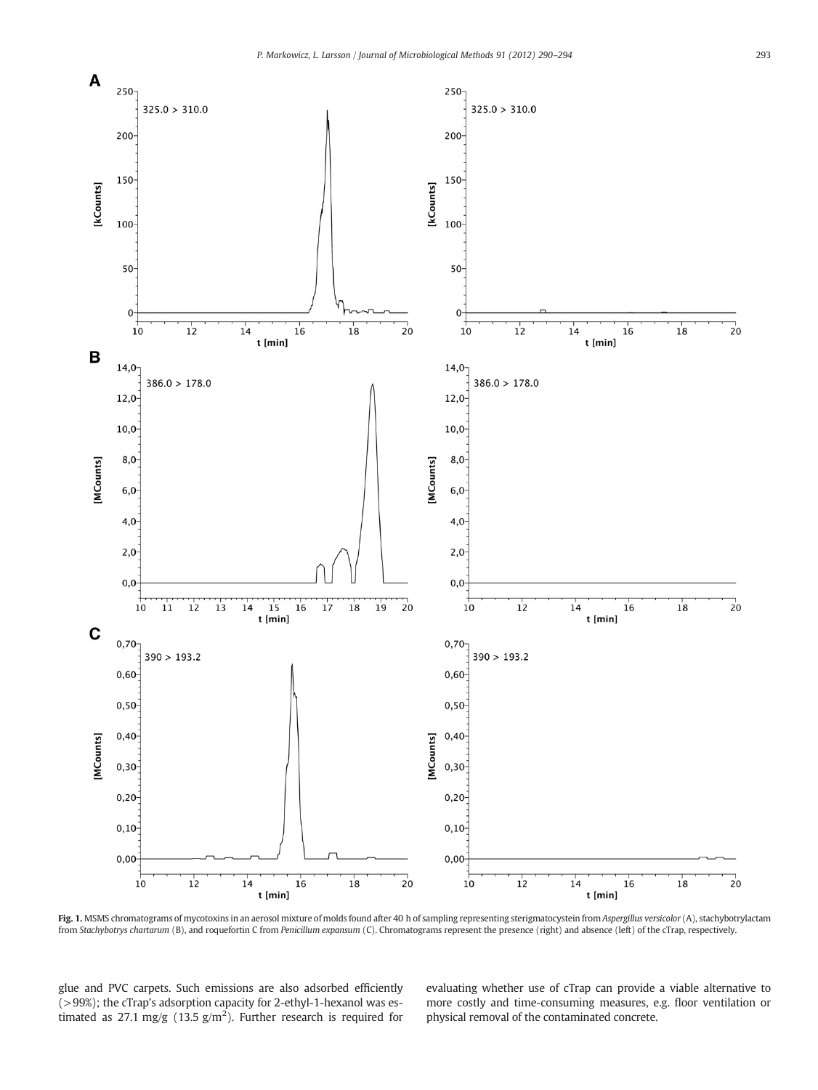<span id="page-3-0"></span>

Fig. 1. MSMS chromatograms of mycotoxins in an aerosol mixture of molds found after 40 h of sampling representing sterigmatocystein from Aspergillus versicolor (A), stachybotrylactam from Stachybotrys chartarum (B), and roquefortin C from Penicillum expansum (C). Chromatograms represent the presence (right) and absence (left) of the cTrap, respectively.

glue and PVC carpets. Such emissions are also adsorbed efficiently (>99%); the cTrap's adsorption capacity for 2-ethyl-1-hexanol was estimated as 27.1 mg/g (13.5  $\frac{g}{m^2}$ ). Further research is required for

evaluating whether use of cTrap can provide a viable alternative to more costly and time-consuming measures, e.g. floor ventilation or physical removal of the contaminated concrete.